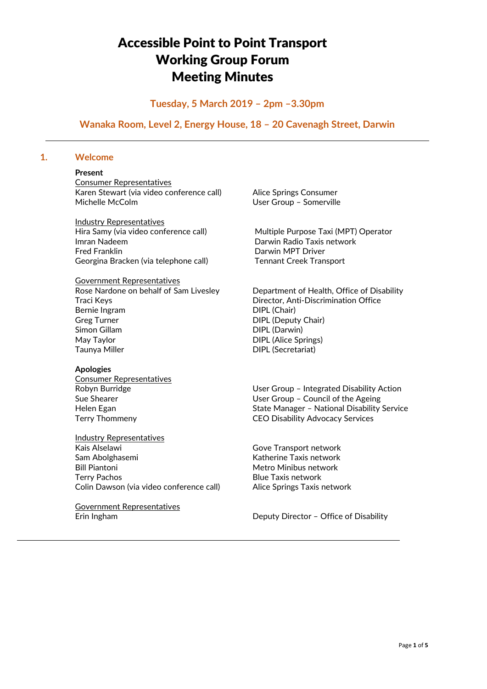# Accessible Point to Point Transport Working Group Forum Meeting Minutes

# **Tuesday, 5 March 2019 – 2pm –3.30pm**

# **Wanaka Room, Level 2, Energy House, 18 – 20 Cavenagh Street, Darwin**

# **1. Welcome**

#### **Present**

Consumer Representatives Karen Stewart (via video conference call) Alice Springs Consumer Michelle McColm User Group – Somerville

Industry Representatives Imran Nadeem Darwin Radio Taxis network Fred Franklin **Darwin MPT Driver** Georgina Bracken (via telephone call) Tennant Creek Transport

#### Government Representatives

Traci Keys Director, Anti-Discrimination Office Bernie Ingram **DIPL** (Chair) Greg Turner **DIPL** (Deputy Chair) Simon Gillam DIPL (Darwin) May Taylor **DIPL** (Alice Springs) Taunya Miller **DIPL** (Secretariat)

#### **Apologies**

Consumer Representatives

Industry Representatives Kais Alselawi Gove Transport network Sam Abolghasemi **Katherine Taxis network** Bill Piantoni **Metro Minibus network** Terry Pachos **Blue Taxis network** Colin Dawson (via video conference call) Alice Springs Taxis network

Government Representatives

Hira Samy (via video conference call) Multiple Purpose Taxi (MPT) Operator

Rose Nardone on behalf of Sam Livesley Department of Health, Office of Disability

Robyn Burridge The User Group – Integrated Disability Action Sue Shearer **In the User Group – Council of the Ageing** Helen Egan State Manager – National Disability Service Terry Thommeny CEO Disability Advocacy Services

Erin Ingham Deputy Director – Office of Disability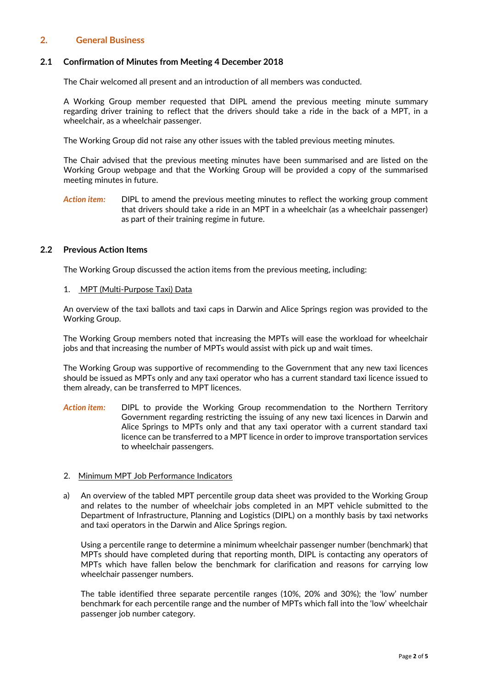# **2. General Business**

## **2.1 Confirmation of Minutes from Meeting 4 December 2018**

The Chair welcomed all present and an introduction of all members was conducted.

A Working Group member requested that DIPL amend the previous meeting minute summary regarding driver training to reflect that the drivers should take a ride in the back of a MPT, in a wheelchair, as a wheelchair passenger.

The Working Group did not raise any other issues with the tabled previous meeting minutes.

The Chair advised that the previous meeting minutes have been summarised and are listed on the Working Group webpage and that the Working Group will be provided a copy of the summarised meeting minutes in future.

Action item: DIPL to amend the previous meeting minutes to reflect the working group comment that drivers should take a ride in an MPT in a wheelchair (as a wheelchair passenger) as part of their training regime in future.

#### **2.2 Previous Action Items**

The Working Group discussed the action items from the previous meeting, including:

1. MPT (Multi-Purpose Taxi) Data

An overview of the taxi ballots and taxi caps in Darwin and Alice Springs region was provided to the Working Group.

The Working Group members noted that increasing the MPTs will ease the workload for wheelchair jobs and that increasing the number of MPTs would assist with pick up and wait times.

The Working Group was supportive of recommending to the Government that any new taxi licences should be issued as MPTs only and any taxi operator who has a current standard taxi licence issued to them already, can be transferred to MPT licences.

- *Action item:* DIPL to provide the Working Group recommendation to the Northern Territory Government regarding restricting the issuing of any new taxi licences in Darwin and Alice Springs to MPTs only and that any taxi operator with a current standard taxi licence can be transferred to a MPT licence in order to improve transportation services to wheelchair passengers.
- 2. Minimum MPT Job Performance Indicators
- a) An overview of the tabled MPT percentile group data sheet was provided to the Working Group and relates to the number of wheelchair jobs completed in an MPT vehicle submitted to the Department of Infrastructure, Planning and Logistics (DIPL) on a monthly basis by taxi networks and taxi operators in the Darwin and Alice Springs region.

Using a percentile range to determine a minimum wheelchair passenger number (benchmark) that MPTs should have completed during that reporting month, DIPL is contacting any operators of MPTs which have fallen below the benchmark for clarification and reasons for carrying low wheelchair passenger numbers.

The table identified three separate percentile ranges (10%, 20% and 30%); the 'low' number benchmark for each percentile range and the number of MPTs which fall into the 'low' wheelchair passenger job number category.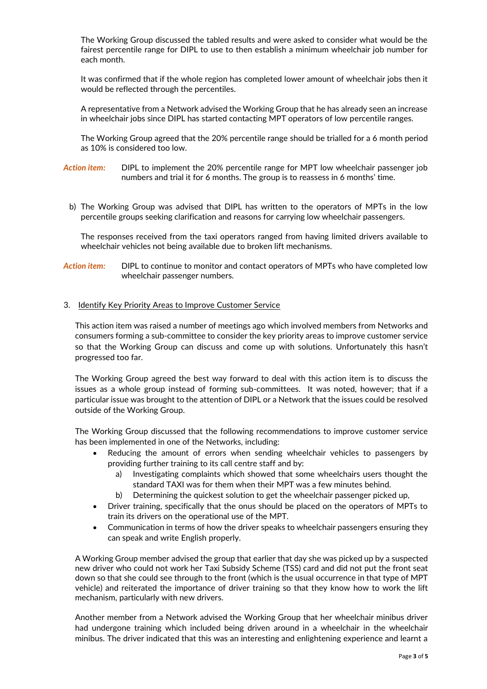The Working Group discussed the tabled results and were asked to consider what would be the fairest percentile range for DIPL to use to then establish a minimum wheelchair job number for each month.

It was confirmed that if the whole region has completed lower amount of wheelchair jobs then it would be reflected through the percentiles.

A representative from a Network advised the Working Group that he has already seen an increase in wheelchair jobs since DIPL has started contacting MPT operators of low percentile ranges.

The Working Group agreed that the 20% percentile range should be trialled for a 6 month period as 10% is considered too low.

*Action item:* DIPL to implement the 20% percentile range for MPT low wheelchair passenger job numbers and trial it for 6 months. The group is to reassess in 6 months' time.

b) The Working Group was advised that DIPL has written to the operators of MPTs in the low percentile groups seeking clarification and reasons for carrying low wheelchair passengers.

The responses received from the taxi operators ranged from having limited drivers available to wheelchair vehicles not being available due to broken lift mechanisms.

*Action item:* DIPL to continue to monitor and contact operators of MPTs who have completed low wheelchair passenger numbers.

#### 3. Identify Key Priority Areas to Improve Customer Service

This action item was raised a number of meetings ago which involved members from Networks and consumers forming a sub-committee to consider the key priority areas to improve customer service so that the Working Group can discuss and come up with solutions. Unfortunately this hasn't progressed too far.

The Working Group agreed the best way forward to deal with this action item is to discuss the issues as a whole group instead of forming sub-committees. It was noted, however; that if a particular issue was brought to the attention of DIPL or a Network that the issues could be resolved outside of the Working Group.

The Working Group discussed that the following recommendations to improve customer service has been implemented in one of the Networks, including:

- Reducing the amount of errors when sending wheelchair vehicles to passengers by providing further training to its call centre staff and by:
	- a) Investigating complaints which showed that some wheelchairs users thought the standard TAXI was for them when their MPT was a few minutes behind.
	- b) Determining the quickest solution to get the wheelchair passenger picked up,
- Driver training, specifically that the onus should be placed on the operators of MPTs to train its drivers on the operational use of the MPT.
- Communication in terms of how the driver speaks to wheelchair passengers ensuring they can speak and write English properly.

A Working Group member advised the group that earlier that day she was picked up by a suspected new driver who could not work her Taxi Subsidy Scheme (TSS) card and did not put the front seat down so that she could see through to the front (which is the usual occurrence in that type of MPT vehicle) and reiterated the importance of driver training so that they know how to work the lift mechanism, particularly with new drivers.

Another member from a Network advised the Working Group that her wheelchair minibus driver had undergone training which included being driven around in a wheelchair in the wheelchair minibus. The driver indicated that this was an interesting and enlightening experience and learnt a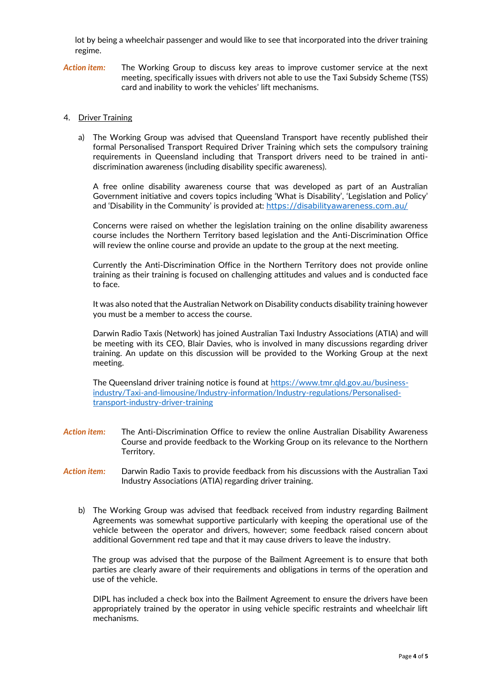lot by being a wheelchair passenger and would like to see that incorporated into the driver training regime.

*Action item:* The Working Group to discuss key areas to improve customer service at the next meeting, specifically issues with drivers not able to use the Taxi Subsidy Scheme (TSS) card and inability to work the vehicles' lift mechanisms.

#### 4. Driver Training

a) The Working Group was advised that Queensland Transport have recently published their formal Personalised Transport Required Driver Training which sets the compulsory training requirements in Queensland including that Transport drivers need to be trained in antidiscrimination awareness (including disability specific awareness).

A free online disability awareness course that was developed as part of an Australian Government initiative and covers topics including 'What is Disability', 'Legislation and Policy' and 'Disability in the Community' is provided at: <https://disabilityawareness.com.au/>

Concerns were raised on whether the legislation training on the online disability awareness course includes the Northern Territory based legislation and the Anti-Discrimination Office will review the online course and provide an update to the group at the next meeting.

Currently the Anti-Discrimination Office in the Northern Territory does not provide online training as their training is focused on challenging attitudes and values and is conducted face to face.

It was also noted that the Australian Network on Disability conducts disability training however you must be a member to access the course.

Darwin Radio Taxis (Network) has joined Australian Taxi Industry Associations (ATIA) and will be meeting with its CEO, Blair Davies, who is involved in many discussions regarding driver training. An update on this discussion will be provided to the Working Group at the next meeting.

The Queensland driver training notice is found at [https://www.tmr.qld.gov.au/business](https://www.tmr.qld.gov.au/business-industry/Taxi-and-limousine/Industry-information/Industry-regulations/Personalised-transport-industry-driver-training)[industry/Taxi-and-limousine/Industry-information/Industry-regulations/Personalised](https://www.tmr.qld.gov.au/business-industry/Taxi-and-limousine/Industry-information/Industry-regulations/Personalised-transport-industry-driver-training)[transport-industry-driver-training](https://www.tmr.qld.gov.au/business-industry/Taxi-and-limousine/Industry-information/Industry-regulations/Personalised-transport-industry-driver-training)

- *Action item:* The Anti-Discrimination Office to review the online Australian Disability Awareness Course and provide feedback to the Working Group on its relevance to the Northern Territory.
- *Action item:* Darwin Radio Taxis to provide feedback from his discussions with the Australian Taxi Industry Associations (ATIA) regarding driver training.
	- b) The Working Group was advised that feedback received from industry regarding Bailment Agreements was somewhat supportive particularly with keeping the operational use of the vehicle between the operator and drivers, however; some feedback raised concern about additional Government red tape and that it may cause drivers to leave the industry.

The group was advised that the purpose of the Bailment Agreement is to ensure that both parties are clearly aware of their requirements and obligations in terms of the operation and use of the vehicle.

DIPL has included a check box into the Bailment Agreement to ensure the drivers have been appropriately trained by the operator in using vehicle specific restraints and wheelchair lift mechanisms.